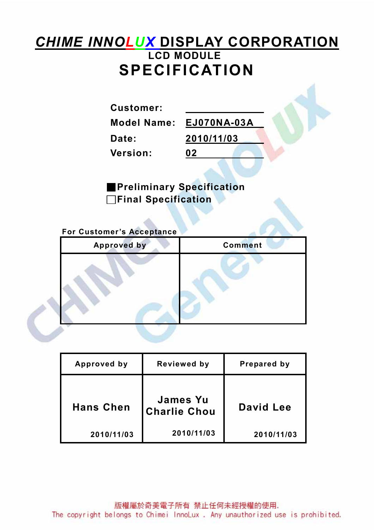# CHIME INNOLUX DISPLAY CORPORATION LCD MODULE SPECIFICATION

Customer:

Version: 02

Model Name: EJ070NA-03A Date: 2010/11/03

■Preliminary Specification □Final Specification

For Customer's Acceptance

j

| <b>Approved by</b> | <b>Comment</b> |
|--------------------|----------------|
|                    |                |
|                    |                |

| Approved by      | Reviewed by                            | Prepared by |
|------------------|----------------------------------------|-------------|
| <b>Hans Chen</b> | <b>James Yu</b><br><b>Charlie Chou</b> | David Lee   |
| 2010/11/03       | 2010/11/03                             | 2010/11/03  |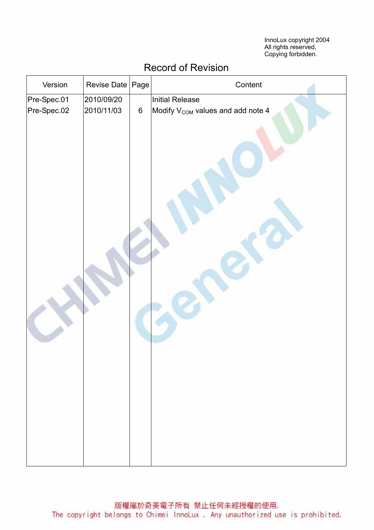InnoLux copyright 2004 All rights reserved, Copying forbidden.

| Version                    | Revise Date | Page    | Content                                       |
|----------------------------|-------------|---------|-----------------------------------------------|
|                            | 2010/09/20  |         | <b>Initial Release</b>                        |
| Pre-Spec.01<br>Pre-Spec.02 | 2010/11/03  | $\,6\,$ | Modify V <sub>COM</sub> values and add note 4 |
|                            |             |         |                                               |

## Record of Revision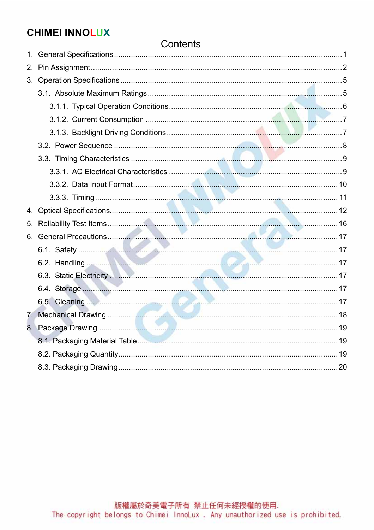## **CHIMEI INNOLUX**

### Contents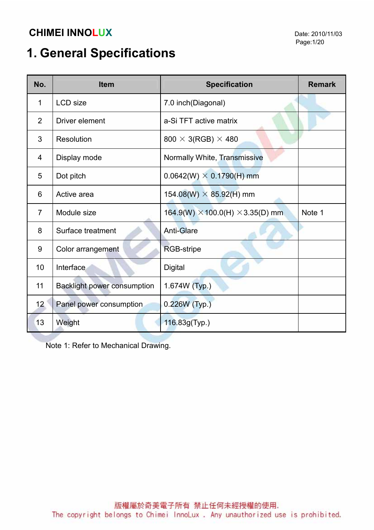# 1. General Specifications

| No.             | <b>Item</b>                 | <b>Specification</b>                           |        |  |
|-----------------|-----------------------------|------------------------------------------------|--------|--|
| 1               | <b>LCD</b> size             | 7.0 inch(Diagonal)                             |        |  |
| $\overline{2}$  | Driver element              | a-Si TFT active matrix                         |        |  |
| 3               | Resolution                  | $800 \times 3(RGB) \times 480$                 |        |  |
| 4               | Display mode                | Normally White, Transmissive                   |        |  |
| 5               | Dot pitch                   | $0.0642(W) \times 0.1790(H)$ mm                |        |  |
| 6               | Active area                 | 154.08(W) $\times$ 85.92(H) mm                 |        |  |
| $\overline{7}$  | Module size                 | 164.9(W) $\times$ 100.0(H) $\times$ 3.35(D) mm | Note 1 |  |
| 8               | Surface treatment           | <b>Anti-Glare</b>                              |        |  |
| 9               | Color arrangement           | <b>RGB-stripe</b>                              |        |  |
| 10              | Interface                   | <b>Digital</b>                                 |        |  |
| 11              | Backlight power consumption | 1.674W (Typ.)                                  |        |  |
| 12 <sub>2</sub> | Panel power consumption     | 0.226W (Typ.)                                  |        |  |
| 13              | Weight                      | 116.83g(Typ.)                                  |        |  |

Note 1: Refer to Mechanical Drawing.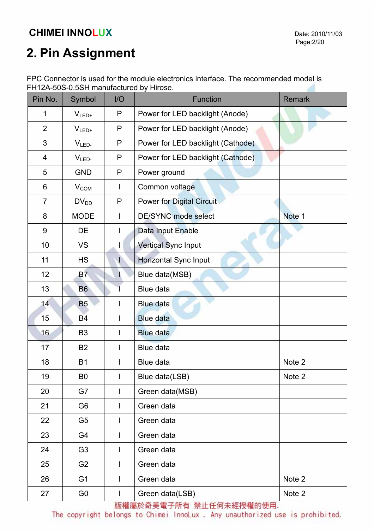# 2. Pin Assignment

| FPC Connector is used for the module electronics interface. The recommended model is |  |
|--------------------------------------------------------------------------------------|--|
| FH12A-50S-0.5SH manufactured by Hirose.                                              |  |

| Pin No.        | Symbol           | I/O          | <b>Function</b>                   | <b>Remark</b> |
|----------------|------------------|--------------|-----------------------------------|---------------|
| 1              | $V_{LED+}$       | P            | Power for LED backlight (Anode)   |               |
| $\overline{2}$ | $V_{LED+}$       | P            | Power for LED backlight (Anode)   |               |
| 3              | $VLED-$          | P            | Power for LED backlight (Cathode) |               |
| 4              | V <sub>LED</sub> | P            | Power for LED backlight (Cathode) |               |
| 5              | <b>GND</b>       | P            | Power ground                      |               |
| $6\phantom{1}$ | V <sub>COM</sub> |              | Common voltage                    |               |
| $\overline{7}$ | $DV_{DD}$        | P            | <b>Power for Digital Circuit</b>  |               |
| 8              | <b>MODE</b>      | $\mathbf{I}$ | <b>DE/SYNC mode select</b>        | Note 1        |
| $9\,$          | DE               |              | Data Input Enable                 |               |
| 10             | <b>VS</b>        | L            | <b>Vertical Sync Input</b>        |               |
| 11             | <b>HS</b>        |              | Horizontal Sync Input             |               |
| 12             | <b>B7</b>        | H.           | Blue data(MSB)                    |               |
| 13             | <b>B6</b>        |              | Blue data                         |               |
| 14             | <b>B5</b>        |              | Blue data                         |               |
| 15             | <b>B4</b>        |              | <b>Blue data</b>                  |               |
| 16             | B <sub>3</sub>   |              | <b>Blue data</b>                  |               |
| 17             | <b>B2</b>        |              | <b>Blue data</b>                  |               |
| 18             | <b>B1</b>        |              | <b>Blue data</b>                  | Note 2        |
| 19             | B0               | $\mathbf{I}$ | Blue data(LSB)                    | Note 2        |
| 20             | G7               | $\mathbf{I}$ | Green data(MSB)                   |               |
| 21             | G <sub>6</sub>   | $\mathbf{I}$ | Green data                        |               |
| 22             | G <sub>5</sub>   | $\mathbf{I}$ | Green data                        |               |
| 23             | G4               | $\mathbf{I}$ | Green data                        |               |
| 24             | G <sub>3</sub>   |              | Green data                        |               |
| 25             | G <sub>2</sub>   |              | Green data                        |               |
| 26             | G <sub>1</sub>   |              | Green data                        | Note 2        |
| 27             | G <sub>0</sub>   | L            | Green data(LSB)                   | Note 2        |

版權屬於奇美電子所有 禁止任何未經授權的使用.

The copyright belongs to Chimei InnoLux. Any unauthorized use is prohibited.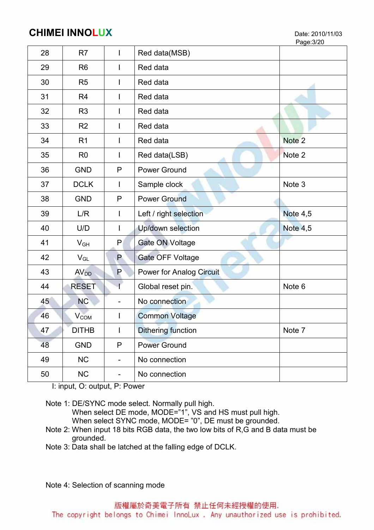Page:3/20

| 28 | R7                     | $\mathbf{I}$                 | Red data(MSB)                   |                   |
|----|------------------------|------------------------------|---------------------------------|-------------------|
| 29 | R <sub>6</sub>         | $\mathsf{I}$                 | Red data                        |                   |
| 30 | R <sub>5</sub>         |                              | Red data                        |                   |
| 31 | R <sub>4</sub>         |                              | Red data                        |                   |
| 32 | R <sub>3</sub>         |                              | Red data                        |                   |
| 33 | R <sub>2</sub>         |                              | Red data                        |                   |
| 34 | R <sub>1</sub>         |                              | Red data                        | Note <sub>2</sub> |
| 35 | R <sub>0</sub>         | $\mathbf{I}$                 | Red data(LSB)                   | Note 2            |
| 36 | <b>GND</b>             | P                            | Power Ground                    |                   |
| 37 | <b>DCLK</b>            |                              | Sample clock                    | Note 3            |
| 38 | <b>GND</b>             | P                            | <b>Power Ground</b>             |                   |
| 39 | L/R                    | $\mathsf{I}$                 | Left / right selection          | <b>Note 4,5</b>   |
| 40 | U/D                    |                              | Up/down selection               | Note 4,5          |
| 41 | $V_{GH}$               | P                            | <b>Gate ON Voltage</b>          |                   |
| 42 | $V_{GL}$               | P                            | Gate OFF Voltage                |                   |
| 43 | AV <sub>DD</sub>       | P                            | <b>Power for Analog Circuit</b> |                   |
| 44 | <b>RESET</b>           |                              | Global reset pin.               | Note 6            |
| 45 | <b>NC</b>              | $\overline{\phantom{0}}$     | No connection                   |                   |
| 46 | <b>V<sub>COM</sub></b> | $\mathsf{l}$                 | <b>Common Voltage</b>           |                   |
| 47 | <b>DITHB</b>           | $\mathbf{I}$                 | <b>Dithering function</b>       | Note 7            |
| 48 | <b>GND</b>             | $\mathsf{P}$                 | <b>Power Ground</b>             |                   |
| 49 | NC                     | $\qquad \qquad -$            | No connection                   |                   |
| 50 | <b>NC</b>              | $\qquad \qquad \blacksquare$ | No connection                   |                   |

I: input, O: output, P: Power

Note 1: DE/SYNC mode select. Normally pull high.

When select DE mode, MODE="1", VS and HS must pull high.

When select SYNC mode, MODE= "0", DE must be grounded.

 Note 2: When input 18 bits RGB data, the two low bits of R,G and B data must be grounded.

Note 3: Data shall be latched at the falling edge of DCLK.

Note 4: Selection of scanning mode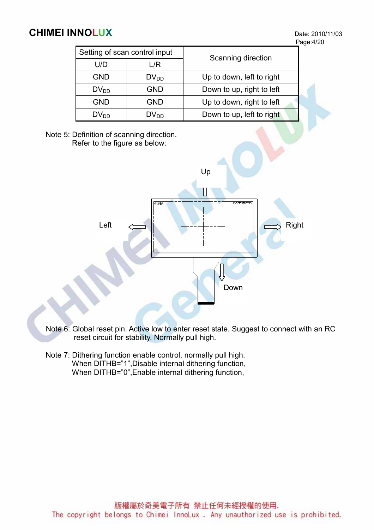Page:4/20

| Setting of scan control input |                  | Scanning direction        |  |  |
|-------------------------------|------------------|---------------------------|--|--|
| U/D                           | _/R              |                           |  |  |
| <b>GND</b>                    | $DV_{DD}$        | Up to down, left to right |  |  |
| $DV_{DD}$                     | <b>GND</b>       | Down to up, right to left |  |  |
| <b>GND</b>                    | <b>GND</b>       | Up to down, right to left |  |  |
| $DV_{DD}$                     | DV <sub>DD</sub> | Down to up, left to right |  |  |

Note 5: Definition of scanning direction. Refer to the figure as below:



Note 6: Global reset pin. Active low to enter reset state. Suggest to connect with an RC reset circuit for stability. Normally pull high.

 Note 7: Dithering function enable control, normally pull high. When DITHB="1",Disable internal dithering function, When DITHB="0",Enable internal dithering function,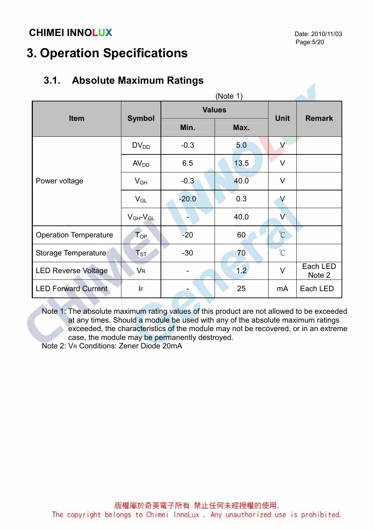## 3. Operation Specifications

## 3.1. Absolute Maximum Ratings

| (Note 1)                     |                      |         |               |                         |                    |  |
|------------------------------|----------------------|---------|---------------|-------------------------|--------------------|--|
| <b>Item</b>                  | <b>Symbol</b>        |         | <b>Values</b> | <b>Unit</b>             | <b>Remark</b>      |  |
|                              |                      | Min.    | Max.          |                         |                    |  |
|                              | $DV_{DD}$            | $-0.3$  | 5.0           | $\vee$                  |                    |  |
|                              | AV <sub>DD</sub>     | 6.5     | 13.5          | $\vee$                  |                    |  |
| Power voltage                | $V_{GH}$             | $-0.3$  | 40.0          | $\vee$                  |                    |  |
|                              | $V_{GL}$             | $-20.0$ | 0.3           | V                       |                    |  |
|                              | $V_{GH}$ - $V_{GL}$  |         | 40.0          | $\overline{\mathsf{V}}$ |                    |  |
| <b>Operation Temperature</b> | $T_{OP}$             | $-20$   | 60            | $\mathrm{C}$            |                    |  |
| Storage Temperature          | $T_{ST}$             | $-30$   | 70            | $^{\circ}C$             |                    |  |
| <b>LED Reverse Voltage</b>   | <b>V<sub>R</sub></b> |         | 1.2           | $\vee$                  | Each LED<br>Note 2 |  |
| <b>LED Forward Current</b>   | IF                   |         | 25            | mA                      | Each LED           |  |

Note 1: The absolute maximum rating values of this product are not allowed to be exceeded at any times. Should a module be used with any of the absolute maximum ratings exceeded, the characteristics of the module may not be recovered, or in an extreme case, the module may be permanently destroyed.

Note 2: VR Conditions: Zener Diode 20mA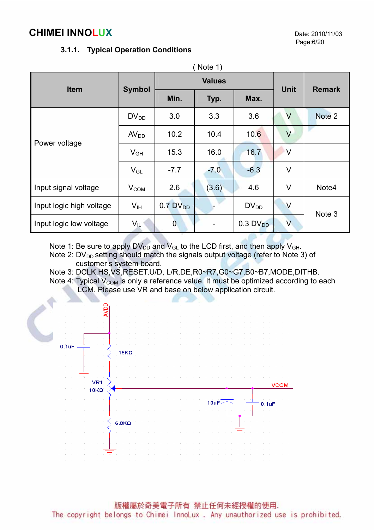#### 3.1.1. Typical Operation Conditions

| Note 1)                  |                  |                        |               |                        |               |        |  |
|--------------------------|------------------|------------------------|---------------|------------------------|---------------|--------|--|
| <b>Item</b>              | <b>Symbol</b>    |                        | <b>Values</b> | <b>Unit</b>            | <b>Remark</b> |        |  |
|                          |                  | Min.                   | Typ.          | Max.                   |               |        |  |
|                          | $DV_{DD}$        | 3.0                    | 3.3           | 3.6                    | V             | Note 2 |  |
| Power voltage            | AV <sub>DD</sub> | 10.2                   | 10.4          | 10.6                   | $\vee$        |        |  |
|                          | $V_{GH}$         | 15.3                   | 16.0          | 16.7                   | $\vee$        |        |  |
|                          | $V_{GL}$         | $-7.7$                 | $-7.0$        | $-6.3$                 | $\vee$        |        |  |
| Input signal voltage     | $V_{COM}$        | 2.6                    | (3.6)         | 4.6                    | $\vee$        | Note4  |  |
| Input logic high voltage | $V_{\text{IH}}$  | $0.7$ DV <sub>DD</sub> |               | $DV_{DD}$              | $\vee$        | Note 3 |  |
| Input logic low voltage  | $V_{\parallel}$  | $\overline{0}$         |               | $0.3$ DV <sub>DD</sub> | $\vee$        |        |  |

Note 1: Be sure to apply  $DV_{DD}$  and  $V_{GL}$  to the LCD first, and then apply  $V_{GH}$ .

Note 2:  $DV_{DD}$  setting should match the signals output voltage (refer to Note 3) of customer's system board.

Note 3: DCLK,HS,VS,RESET,U/D, L/R,DE,R0~R7,G0~G7,B0~B7,MODE,DITHB.

Note 4: Typical  $V_{COM}$  is only a reference value. It must be optimized according to each LCM. Please use VR and base on below application circuit.

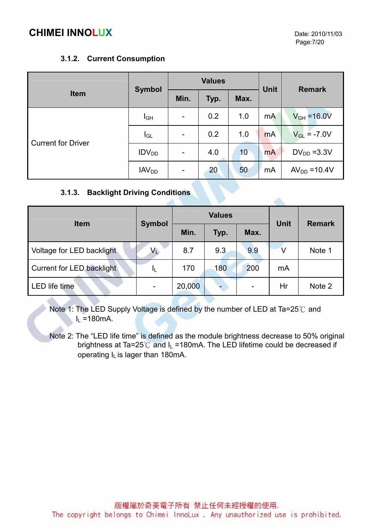#### 3.1.2. Current Consumption

|                           |                   | <b>Values</b>                |      |                 | <b>Unit</b>    | <b>Remark</b>    |  |
|---------------------------|-------------------|------------------------------|------|-----------------|----------------|------------------|--|
| <b>Item</b>               | <b>Symbol</b>     | Min.                         | Typ. | Max.            |                |                  |  |
| <b>Current for Driver</b> | $I_{GH}$          | $\overline{\phantom{a}}$     | 0.2  | 1.0             | m <sub>A</sub> | $V_{GH} = 16.0V$ |  |
|                           | $I_{GL}$          | $\overline{\phantom{a}}$     | 0.2  | 1.0             | <b>mA</b>      | $V_{GL} = -7.0V$ |  |
|                           | IDV <sub>DD</sub> | $\qquad \qquad \blacksquare$ | 4.0  | 10 <sup>°</sup> | <b>mA</b>      | $DV_{DD} = 3.3V$ |  |
|                           | IAV <sub>DD</sub> | -                            | 20   | 50              | mA             | $AVDD = 10.4V$   |  |

#### 3.1.3. Backlight Driving Conditions

|                           |                         |        | <b>Values</b> |      | <b>Unit</b> | <b>Remark</b> |
|---------------------------|-------------------------|--------|---------------|------|-------------|---------------|
| <b>Item</b>               | <b>Symbol</b>           | Min.   | Typ.          | Max. |             |               |
| Voltage for LED backlight | $\mathsf{V}_\mathsf{L}$ | 8.7    | 9.3           | 9.9  |             | Note 1        |
| Current for LED backlight | IL                      | 170    | 180           | 200  | mA          |               |
| <b>LED</b> life time      |                         | 20,000 |               |      | Hr          | Note 2        |

Note 1: The LED Supply Voltage is defined by the number of LED at Ta=25℃ and  $I_L = 180$  mA.

Note 2: The "LED life time" is defined as the module brightness decrease to 50% original brightness at Ta=25 $^{\circ}$ C and I<sub>L</sub> =180mA. The LED lifetime could be decreased if operating  $I<sub>L</sub>$  is lager than 180mA.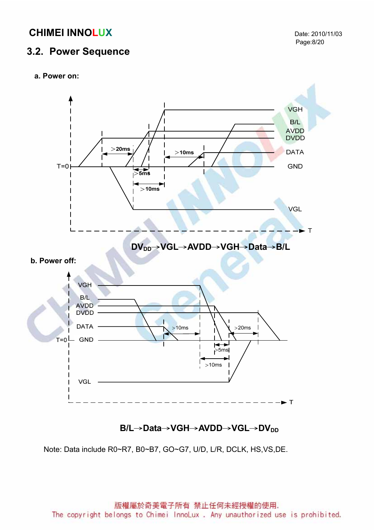#### 3.2. Power Sequence





### B/L→Data→VGH→AVDD→VGL→DV<sub>DD</sub>

Note: Data include R0~R7, B0~B7, GO~G7, U/D, L/R, DCLK, HS,VS,DE.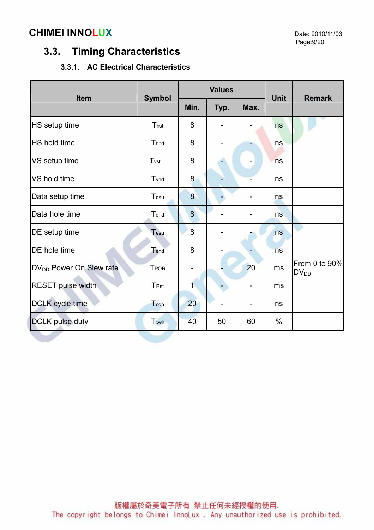## 3.3. Timing Characteristics

#### 3.3.1. AC Electrical Characteristics

|                                     |                  |                | <b>Values</b> |                |             | <b>Remark</b>                          |  |
|-------------------------------------|------------------|----------------|---------------|----------------|-------------|----------------------------------------|--|
| <b>Item</b>                         | <b>Symbol</b>    | Min.           | Typ.          | Max.           | <b>Unit</b> |                                        |  |
| HS setup time                       | Thst             | 8              |               |                | ns          |                                        |  |
| <b>HS</b> hold time                 | Thhd             | 8              |               |                | ns          |                                        |  |
| VS setup time                       | T <sub>vst</sub> | 8              |               | $\blacksquare$ | ns          |                                        |  |
| VS hold time                        | Tyhd             | 8              |               |                | ns          |                                        |  |
| Data setup time                     | Tdsu             | 8              |               |                | ns          |                                        |  |
| Data hole time                      | Tdhd             | 8              |               |                | ns          |                                        |  |
| DE setup time                       | Tesu             | 8              |               |                | ns          |                                        |  |
| <b>DE</b> hole time                 | Tehd             | 8              |               |                | ns          |                                        |  |
| DV <sub>DD</sub> Power On Slew rate | <b>TPOR</b>      |                |               | 20             | ms          | From 0 to 90%<br>$DV_{D\underline{D}}$ |  |
| <b>RESET pulse width</b>            | T <sub>Rst</sub> | $\overline{1}$ |               |                | ms          |                                        |  |
| <b>DCLK</b> cycle time              | Tcoh             | 20             |               |                | ns          |                                        |  |
| <b>DCLK</b> pulse duty              | Tcwh             | 40             | 50            | 60             | $\%$        |                                        |  |
|                                     |                  |                |               |                |             |                                        |  |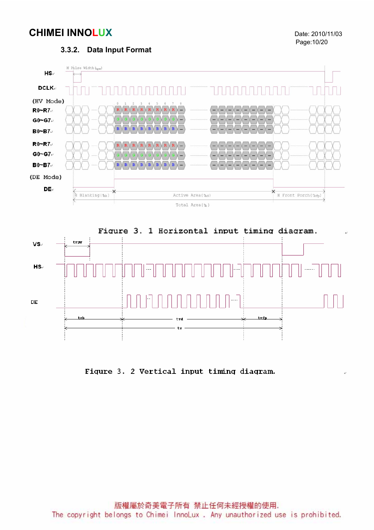Page:10/20

#### 3.3.2. Data Input Format





Figure 3. 2 Vertical input timing diagram.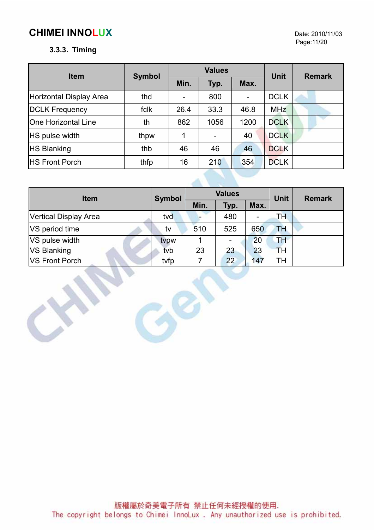#### 3.3.3. Timing

| <b>Item</b>                | <b>Symbol</b> |                          | <b>Values</b> | <b>Unit</b> | <b>Remark</b> |   |  |
|----------------------------|---------------|--------------------------|---------------|-------------|---------------|---|--|
|                            |               | Min.                     | Typ.          | Max.        |               |   |  |
| Horizontal Display Area    | thd           | $\overline{\phantom{0}}$ | 800           |             | <b>DCLK</b>   | w |  |
| <b>DCLK Frequency</b>      | fclk          | 26.4                     | 33.3          | 46.8        | <b>MHz</b>    |   |  |
| <b>One Horizontal Line</b> | th            | 862                      | 1056          | 1200        | <b>DCLK</b>   |   |  |
| <b>HS</b> pulse width      | thpw          | 1                        | ۰             | 40          | <b>DCLK</b>   |   |  |
| <b>HS Blanking</b>         | thb           | 46                       | 46            | 46          | <b>DCLK</b>   |   |  |
| <b>HS Front Porch</b>      | thfp          | 16                       | 210           | 354         | <b>DCLK</b>   |   |  |

| <b>Item</b>           | <b>Symbol</b> | <b>Values</b> |      |                          | <b>Unit</b> | <b>Remark</b> |
|-----------------------|---------------|---------------|------|--------------------------|-------------|---------------|
|                       |               | Min.          | Typ. | Max.                     |             |               |
| Vertical Display Area | tvd           |               | 480  | $\overline{\phantom{a}}$ | TН          |               |
| VS period time        | tv            | 510           | 525  | 650                      | TН          |               |
| VS pulse width        | typw          |               |      | 20                       | TН          |               |
| <b>VS Blanking</b>    | tvb           | 23            | 23   | 23                       | TH          |               |
| <b>VS Front Porch</b> | tvfp          |               | 22   | 147                      | TН          |               |

Gen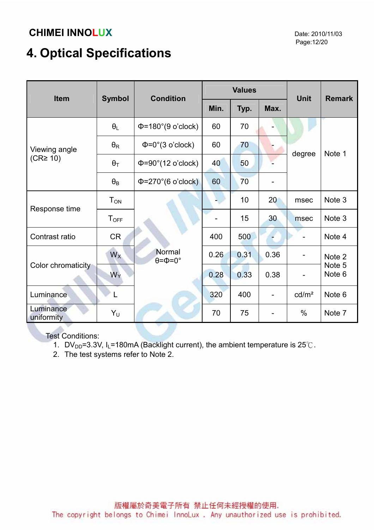# 4. Optical Specifications

| <b>Item</b>             | <b>Symbol</b>         | <b>Condition</b>                       |      | <b>Values</b> |                          | <b>Unit</b>                  | <b>Remark</b>    |
|-------------------------|-----------------------|----------------------------------------|------|---------------|--------------------------|------------------------------|------------------|
|                         |                       |                                        | Min. | Typ.          | Max.                     |                              |                  |
|                         | $\theta_L$            | $\Phi$ =180°(9 o'clock)                | 60   | 70            |                          |                              |                  |
| Viewing angle           | $\theta_{\mathsf{R}}$ | $\Phi = 0^\circ (3 \text{ o'clock})$   | 60   | 70            |                          | degree                       | Note 1           |
| $(CR \geq 10)$          | $\theta_T$            | $\Phi = 90^\circ (12 \text{ o'clock})$ | 40   | 50            |                          |                              |                  |
|                         | $\theta_{\mathsf{B}}$ | $\Phi = 270^{\circ}$ (6 o'clock)       | 60   | 70            |                          |                              |                  |
| Response time           | $T_{ON}$              |                                        |      | 10            | 20                       | msec                         | Note 3           |
|                         | $T_{OFF}$             |                                        |      | 15            | 30                       | msec                         | Note 3           |
| Contrast ratio          | <b>CR</b>             |                                        | 400  | 500           |                          |                              | Note 4           |
|                         | $W_X$                 | Normal<br>$\theta = \Phi = 0^{\circ}$  | 0.26 | 0.31          | 0.36                     | $\qquad \qquad \blacksquare$ | Note 2           |
| Color chromaticity      | $W_Y$                 |                                        | 0.28 | 0.33          | 0.38                     | $\blacksquare$               | Note 5<br>Note 6 |
| Luminance               |                       |                                        | 320  | 400           |                          | cd/m <sup>2</sup>            | Note 6           |
| Luminance<br>uniformity | Y <sub>U</sub>        |                                        | 70   | 75            | $\overline{\phantom{a}}$ | $\%$                         | Note 7           |
|                         |                       |                                        |      |               |                          |                              |                  |

Test Conditions:

- 1. DV<sub>DD</sub>=3.3V, I<sub>L</sub>=180mA (Backlight current), the ambient temperature is 25°C.
- 2. The test systems refer to Note 2.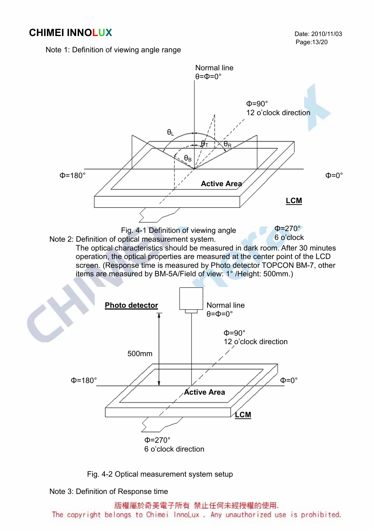Note 1: Definition of viewing angle range



Fig. 4-2 Optical measurement system setup

Note 3: Definition of Response time

版權屬於奇美電子所有 禁止任何未經授權的使用.

The copyright belongs to Chimei InnoLux. Any unauthorized use is prohibited.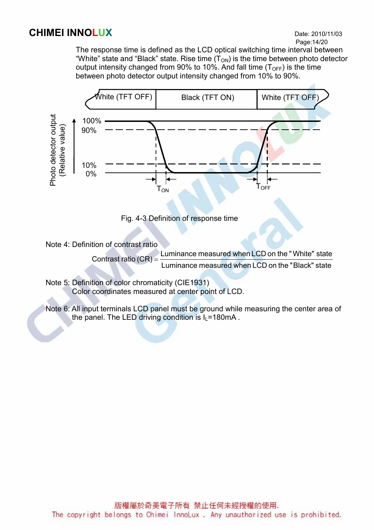# Page:14/20

 The response time is defined as the LCD optical switching time interval between "White" state and "Black" state. Rise time  $(T_{ON})$  is the time between photo detector output intensity changed from 90% to 10%. And fall time  $(T<sub>OFF</sub>)$  is the time between photo detector output intensity changed from 10% to 90%.





Note 4: Definition of contrast ratio

 Luminance measured when LCD on the " Black" state Contrast ratio  $(CR) =$  Luminance measured when LCD on the "White" state

 Note 5: Definition of color chromaticity (CIE1931) Color coordinates measured at center point of LCD.

 Note 6: All input terminals LCD panel must be ground while measuring the center area of the panel. The LED driving condition is  $I_L$ =180mA.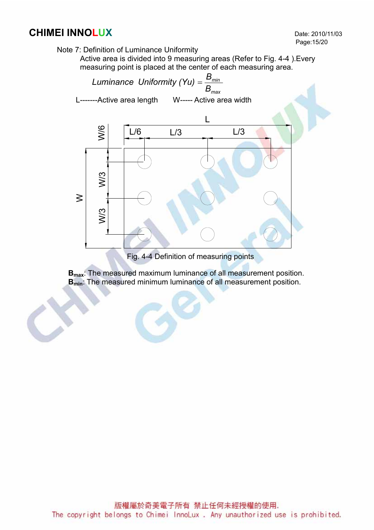

Active area is divided into 9 measuring areas (Refer to Fig. 4-4 ).Every measuring point is placed at the center of each measuring area.



Fig. 4-4 Definition of measuring points

B<sub>max</sub>: The measured maximum luminance of all measurement position. B<sub>min</sub>: The measured minimum luminance of all measurement position.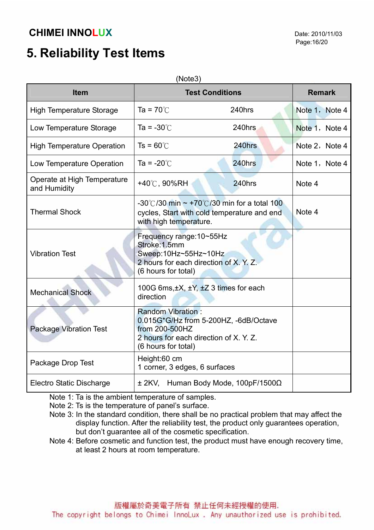# 5. Reliability Test Items

| Item                                        | <b>Test Conditions</b>                                                                                                                               | <b>Remark</b>                                   |                |
|---------------------------------------------|------------------------------------------------------------------------------------------------------------------------------------------------------|-------------------------------------------------|----------------|
| <b>High Temperature Storage</b>             | Ta = 70 $\degree$ C                                                                                                                                  | 240hrs                                          | Note 1, Note 4 |
| Low Temperature Storage                     | Ta = $-30^{\circ}$ C                                                                                                                                 | 240hrs                                          | Note 1, Note 4 |
| <b>High Temperature Operation</b>           | $Ts = 60^{\circ}$                                                                                                                                    | 240hrs                                          | Note 2, Note 4 |
| Low Temperature Operation                   | Ta = $-20^{\circ}$ C                                                                                                                                 | 240hrs                                          | Note 1, Note 4 |
| Operate at High Temperature<br>and Humidity | +40 $\degree$ C, 90%RH                                                                                                                               | 240hrs                                          | Note 4         |
| <b>Thermal Shock</b>                        | -30°C/30 min $\sim$ +70°C/30 min for a total 100<br>cycles, Start with cold temperature and end<br>with high temperature.                            | Note 4                                          |                |
| <b>Vibration Test</b>                       | Frequency range: 10~55Hz<br>Stroke: 1.5mm<br>Sweep:10Hz~55Hz~10Hz<br>2 hours for each direction of X. Y. Z.<br>(6 hours for total)                   |                                                 |                |
| <b>Mechanical Shock</b>                     | 100G 6ms, ±X, ±Y, ±Z 3 times for each<br>direction                                                                                                   |                                                 |                |
| <b>Package Vibration Test</b>               | <b>Random Vibration:</b><br>0.015G*G/Hz from 5-200HZ, -6dB/Octave<br>from 200-500HZ<br>2 hours for each direction of X. Y. Z.<br>(6 hours for total) |                                                 |                |
| Package Drop Test                           | Height:60 cm<br>1 corner, 3 edges, 6 surfaces                                                                                                        |                                                 |                |
| Electro Static Discharge                    |                                                                                                                                                      | $\pm$ 2KV, Human Body Mode, 100pF/1500 $\Omega$ |                |

Note 1: Ta is the ambient temperature of samples.

Note 2: Ts is the temperature of panel's surface.

- Note 3: In the standard condition, there shall be no practical problem that may affect the display function. After the reliability test, the product only guarantees operation, but don't guarantee all of the cosmetic specification.
- Note 4: Before cosmetic and function test, the product must have enough recovery time, at least 2 hours at room temperature.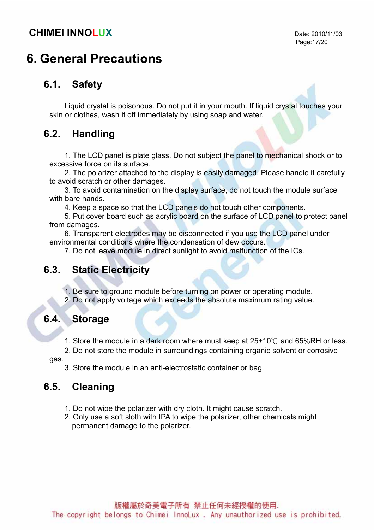## 6. General Precautions

### 6.1. Safety

Liquid crystal is poisonous. Do not put it in your mouth. If liquid crystal touches your skin or clothes, wash it off immediately by using soap and water.

### 6.2. Handling

1. The LCD panel is plate glass. Do not subject the panel to mechanical shock or to excessive force on its surface.

2. The polarizer attached to the display is easily damaged. Please handle it carefully to avoid scratch or other damages.

3. To avoid contamination on the display surface, do not touch the module surface with bare hands.

4. Keep a space so that the LCD panels do not touch other components.

5. Put cover board such as acrylic board on the surface of LCD panel to protect panel from damages.

6. Transparent electrodes may be disconnected if you use the LCD panel under environmental conditions where the condensation of dew occurs.

7. Do not leave module in direct sunlight to avoid malfunction of the ICs.

### 6.3. Static Electricity

1. Be sure to ground module before turning on power or operating module.

2. Do not apply voltage which exceeds the absolute maximum rating value.

#### 6.4. Storage

1. Store the module in a dark room where must keep at 25±10℃ and 65%RH or less.

2. Do not store the module in surroundings containing organic solvent or corrosive

gas.

3. Store the module in an anti-electrostatic container or bag.

### 6.5. Cleaning

- 1. Do not wipe the polarizer with dry cloth. It might cause scratch.
- 2. Only use a soft sloth with IPA to wipe the polarizer, other chemicals might permanent damage to the polarizer.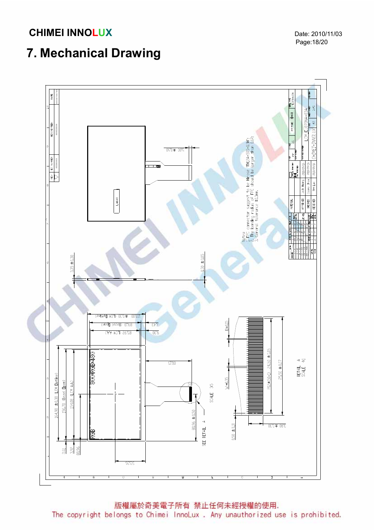Page:18/20

# 7. Mechanical Drawing

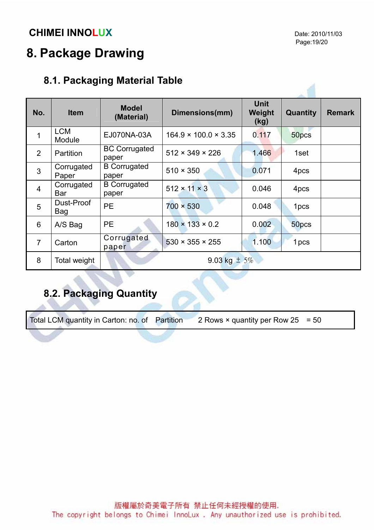# 8. Package Drawing

## 8.1. Packaging Material Table

| No.            | <b>Item</b>          | <b>Model</b><br>(Material)    | Dimensions(mm)                   | <b>Unit</b><br>Weight<br>(kg) | Quantity | <b>Remark</b> |
|----------------|----------------------|-------------------------------|----------------------------------|-------------------------------|----------|---------------|
| 1              | <b>LCM</b><br>Module | EJ070NA-03A                   | $164.9 \times 100.0 \times 3.35$ | 0.117                         | 50pcs    |               |
| $\overline{2}$ | <b>Partition</b>     | <b>BC Corrugated</b><br>paper | $512 \times 349 \times 226$      | 1.466                         | 1set     |               |
| $\overline{3}$ | Corrugated<br>Paper  | <b>B</b> Corrugated<br>paper  | $510 \times 350$                 | 0.071                         | 4pcs     |               |
| $\overline{4}$ | Corrugated<br>Bar    | <b>B</b> Corrugated<br>paper  | $512 \times 11 \times 3$         | 0.046                         | 4pcs     |               |
| 5              | Dust-Proof<br>Bag    | <b>PE</b>                     | $700 \times 530$                 | 0.048                         | 1pcs     |               |
| 6              | A/S Bag              | <b>PE</b>                     | $180 \times 133 \times 0.2$      | 0.002                         | 50pcs    |               |
| $\overline{7}$ | Carton               | Corrugated<br>paper           | $530 \times 355 \times 255$      | 1.100                         | 1 pcs    |               |
| 8              | Total weight         |                               | 9.03 kg $\pm$ 5%                 |                               |          |               |

## 8.2. Packaging Quantity

Total LCM quantity in Carton: no. of Partition 2 Rows  $\times$  quantity per Row 25 = 50